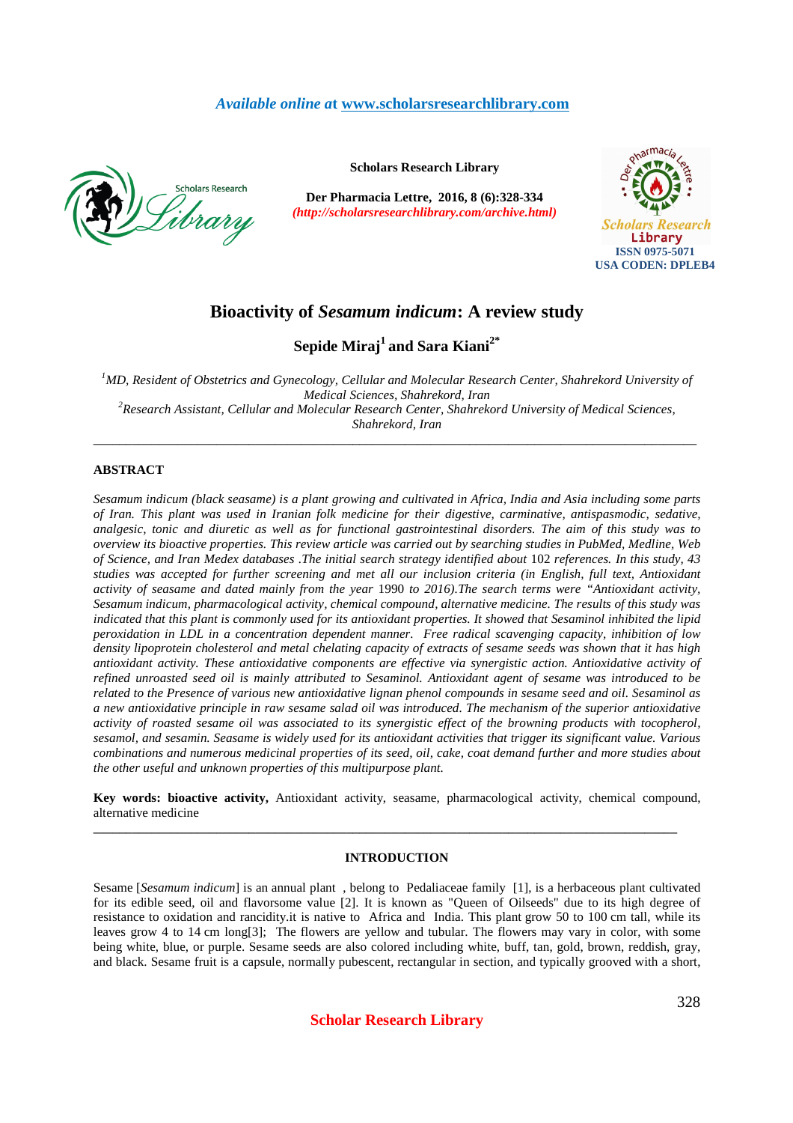# *Available online a***t www.scholarsresearchlibrary.com**



**Scholars Research Library**

**Der Pharmacia Lettre, 2016, 8 (6):328-334** *(http://scholarsresearchlibrary.com/archive.html)*



# **Bioactivity of** *Sesamum indicum***: A review study**

# **Sepide Miraj<sup>1</sup>and Sara Kiani2\***

<sup>1</sup>*MD, Resident of Obstetrics and Gynecology, Cellular and Molecular Research Center, Shahrekord University of Medical Sciences, Shahrekord, Iran <sup>2</sup>Research Assistant, Cellular and Molecular Research Center, Shahrekord University of Medical Sciences, Shahrekord, Iran*

\_\_\_\_\_\_\_\_\_\_\_\_\_\_\_\_\_\_\_\_\_\_\_\_\_\_\_\_\_\_\_\_\_\_\_\_\_\_\_\_\_\_\_\_\_\_\_\_\_\_\_\_\_\_\_\_\_\_\_\_\_\_\_\_\_\_\_\_\_\_\_\_\_\_\_\_\_\_\_\_\_\_\_\_\_\_\_\_\_\_\_\_\_

# **ABSTRACT**

*Sesamum indicum (black seasame) is a plant growing and cultivated in Africa, India and Asia including some parts of Iran. This plant was used in Iranian folk medicine for their digestive, carminative, antispasmodic, sedative, analgesic, tonic and diuretic as well as for functional gastrointestinal disorders. The aim of this study was to overview its bioactive properties. This review article was carried out by searching studies in PubMed, Medline, Web of Science, and Iran Medex databases .The initial search strategy identified about* 102 *references. In this study, 43 studies was accepted for further screening and met all our inclusion criteria (in English, full text, Antioxidant activity of seasame and dated mainly from the year* 1990 *to 2016).The search terms were "Antioxidant activity, Sesamum indicum, pharmacological activity, chemical compound, alternative medicine. The results of this study was indicated that this plant is commonly used for its antioxidant properties. It showed that Sesaminol inhibited the lipid peroxidation in LDL in a concentration dependent manner. Free radical scavenging capacity, inhibition of low density lipoprotein cholesterol and metal chelating capacity of extracts of sesame seeds was shown that it has high antioxidant activity. These antioxidative components are effective via synergistic action. Antioxidative activity of refined unroasted seed oil is mainly attributed to Sesaminol. Antioxidant agent of sesame was introduced to be related to the Presence of various new antioxidative lignan phenol compounds in sesame seed and oil. Sesaminol as a new antioxidative principle in raw sesame salad oil was introduced. The mechanism of the superior antioxidative activity of roasted sesame oil was associated to its synergistic effect of the browning products with tocopherol, sesamol, and sesamin. Seasame is widely used for its antioxidant activities that trigger its significant value. Various combinations and numerous medicinal properties of its seed, oil, cake, coat demand further and more studies about the other useful and unknown properties of this multipurpose plant.* 

**Key words: bioactive activity,** Antioxidant activity, seasame, pharmacological activity, chemical compound, alternative medicine

**\_\_\_\_\_\_\_\_\_\_\_\_\_\_\_\_\_\_\_\_\_\_\_\_\_\_\_\_\_\_\_\_\_\_\_\_\_\_\_\_\_\_\_\_\_\_\_\_\_\_\_\_\_\_\_\_\_\_\_\_\_\_\_\_\_\_\_\_\_\_\_\_\_\_\_\_\_\_\_\_\_\_\_\_\_\_\_\_\_\_** 

# **INTRODUCTION**

Sesame [*Sesamum indicum*] is an annual plant , belong to Pedaliaceae family [1], is a herbaceous plant cultivated for its edible seed, oil and flavorsome value [2]. It is known as "Queen of Oilseeds" due to its high degree of resistance to oxidation and rancidity.it is native to Africa and India. This plant grow 50 to 100 cm tall, while its leaves grow 4 to 14 cm long[3]; The flowers are yellow and tubular. The flowers may vary in color, with some being white, blue, or purple. Sesame seeds are also colored including white, buff, tan, gold, brown, reddish, gray, and black. Sesame fruit is a capsule, normally pubescent, rectangular in section, and typically grooved with a short,

**Scholar Research Library**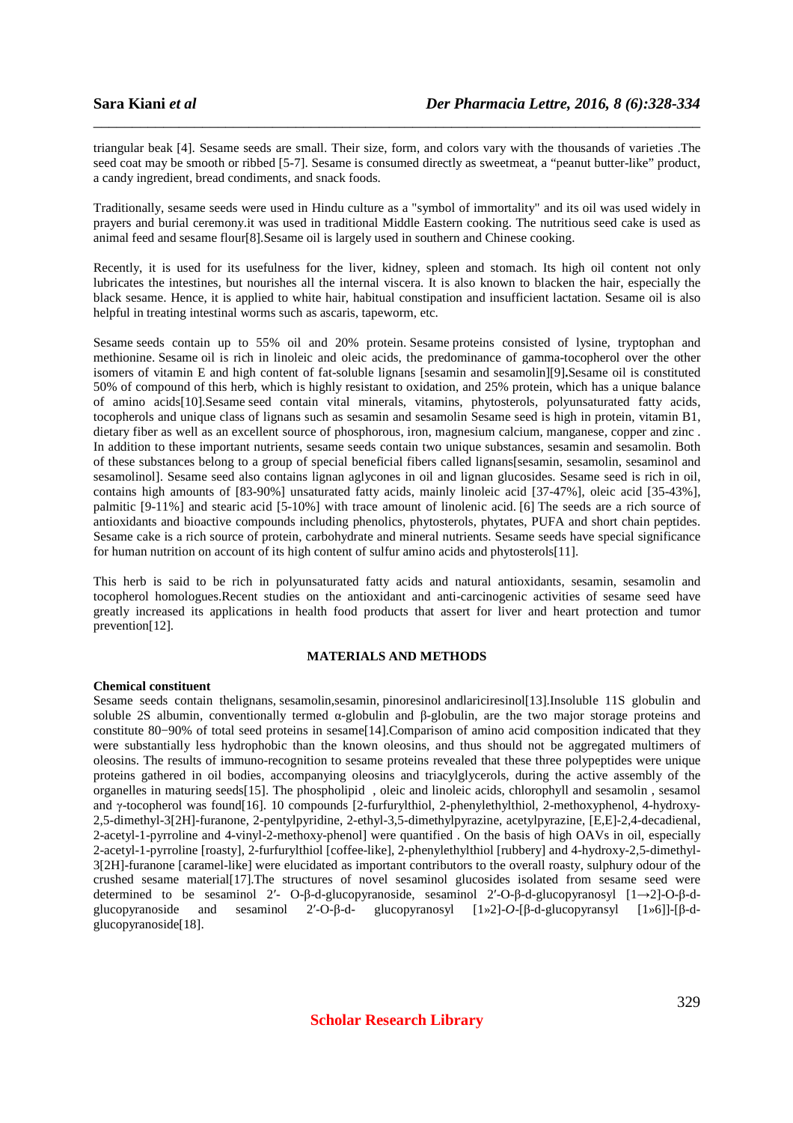triangular beak [4]. Sesame seeds are small. Their size, form, and colors vary with the thousands of varieties .The seed coat may be smooth or ribbed [5-7]. Sesame is consumed directly as sweetmeat, a "peanut butter-like" product, a candy ingredient, bread condiments, and snack foods.

\_\_\_\_\_\_\_\_\_\_\_\_\_\_\_\_\_\_\_\_\_\_\_\_\_\_\_\_\_\_\_\_\_\_\_\_\_\_\_\_\_\_\_\_\_\_\_\_\_\_\_\_\_\_\_\_\_\_\_\_\_\_\_\_\_\_\_\_\_\_\_\_\_\_\_\_\_\_

Traditionally, sesame seeds were used in Hindu culture as a "symbol of immortality" and its oil was used widely in prayers and burial ceremony.it was used in traditional Middle Eastern cooking. The nutritious seed cake is used as animal feed and sesame flour[8].Sesame oil is largely used in southern and Chinese cooking.

Recently, it is used for its usefulness for the liver, kidney, spleen and stomach. Its high oil content not only lubricates the intestines, but nourishes all the internal viscera. It is also known to blacken the hair, especially the black sesame. Hence, it is applied to white hair, habitual constipation and insufficient lactation. Sesame oil is also helpful in treating intestinal worms such as ascaris, tapeworm, etc.

Sesame seeds contain up to 55% oil and 20% protein. Sesame proteins consisted of lysine, tryptophan and methionine. Sesame oil is rich in linoleic and oleic acids, the predominance of gamma-tocopherol over the other isomers of vitamin E and high content of fat-soluble lignans [sesamin and sesamolin][9]**.**Sesame oil is constituted 50% of compound of this herb, which is highly resistant to oxidation, and 25% protein, which has a unique balance of amino acids[10].Sesame seed contain vital minerals, vitamins, phytosterols, polyunsaturated fatty acids, tocopherols and unique class of lignans such as sesamin and sesamolin Sesame seed is high in protein, vitamin B1, dietary fiber as well as an excellent source of phosphorous, iron, magnesium calcium, manganese, copper and zinc . In addition to these important nutrients, sesame seeds contain two unique substances, sesamin and sesamolin. Both of these substances belong to a group of special beneficial fibers called lignans[sesamin, sesamolin, sesaminol and sesamolinol]. Sesame seed also contains lignan aglycones in oil and lignan glucosides. Sesame seed is rich in oil, contains high amounts of [83-90%] unsaturated fatty acids, mainly linoleic acid [37-47%], oleic acid [35-43%], palmitic [9-11%] and stearic acid [5-10%] with trace amount of linolenic acid. [6] The seeds are a rich source of antioxidants and bioactive compounds including phenolics, phytosterols, phytates, PUFA and short chain peptides. Sesame cake is a rich source of protein, carbohydrate and mineral nutrients. Sesame seeds have special significance for human nutrition on account of its high content of sulfur amino acids and phytosterols[11].

This herb is said to be rich in polyunsaturated fatty acids and natural antioxidants, sesamin, sesamolin and tocopherol homologues.Recent studies on the antioxidant and anti-carcinogenic activities of sesame seed have greatly increased its applications in health food products that assert for liver and heart protection and tumor prevention[12].

## **MATERIALS AND METHODS**

#### **Chemical constituent**

Sesame seeds contain thelignans, sesamolin, sesamin, pinoresinol andlariciresinol [13]. Insoluble 11S globulin and soluble 2S albumin, conventionally termed α-globulin and β-globulin, are the two major storage proteins and constitute 80−90% of total seed proteins in sesame[14].Comparison of amino acid composition indicated that they were substantially less hydrophobic than the known oleosins, and thus should not be aggregated multimers of oleosins. The results of immuno-recognition to sesame proteins revealed that these three polypeptides were unique proteins gathered in oil bodies, accompanying oleosins and triacylglycerols, during the active assembly of the organelles in maturing seeds[15]. The phospholipid , oleic and linoleic acids, chlorophyll and sesamolin , sesamol and γ-tocopherol was found[16]. 10 compounds [2-furfurylthiol, 2-phenylethylthiol, 2-methoxyphenol, 4-hydroxy-2,5-dimethyl-3[2H]-furanone, 2-pentylpyridine, 2-ethyl-3,5-dimethylpyrazine, acetylpyrazine, [E,E]-2,4-decadienal, 2-acetyl-1-pyrroline and 4-vinyl-2-methoxy-phenol] were quantified . On the basis of high OAVs in oil, especially 2-acetyl-1-pyrroline [roasty], 2-furfurylthiol [coffee-like], 2-phenylethylthiol [rubbery] and 4-hydroxy-2,5-dimethyl-3[2H]-furanone [caramel-like] were elucidated as important contributors to the overall roasty, sulphury odour of the crushed sesame material[17].The structures of novel sesaminol glucosides isolated from sesame seed were determined to be sesaminol 2′- O-β-d-glucopyranoside, sesaminol 2′-O-β-d-glucopyranosyl [1→2]-O-β-dglucopyranoside and sesaminol 2′-O-β-d- glucopyranosyl [1»2]-*O*-[β-d-glucopyransyl [1»6]]-[β-dglucopyranoside[18].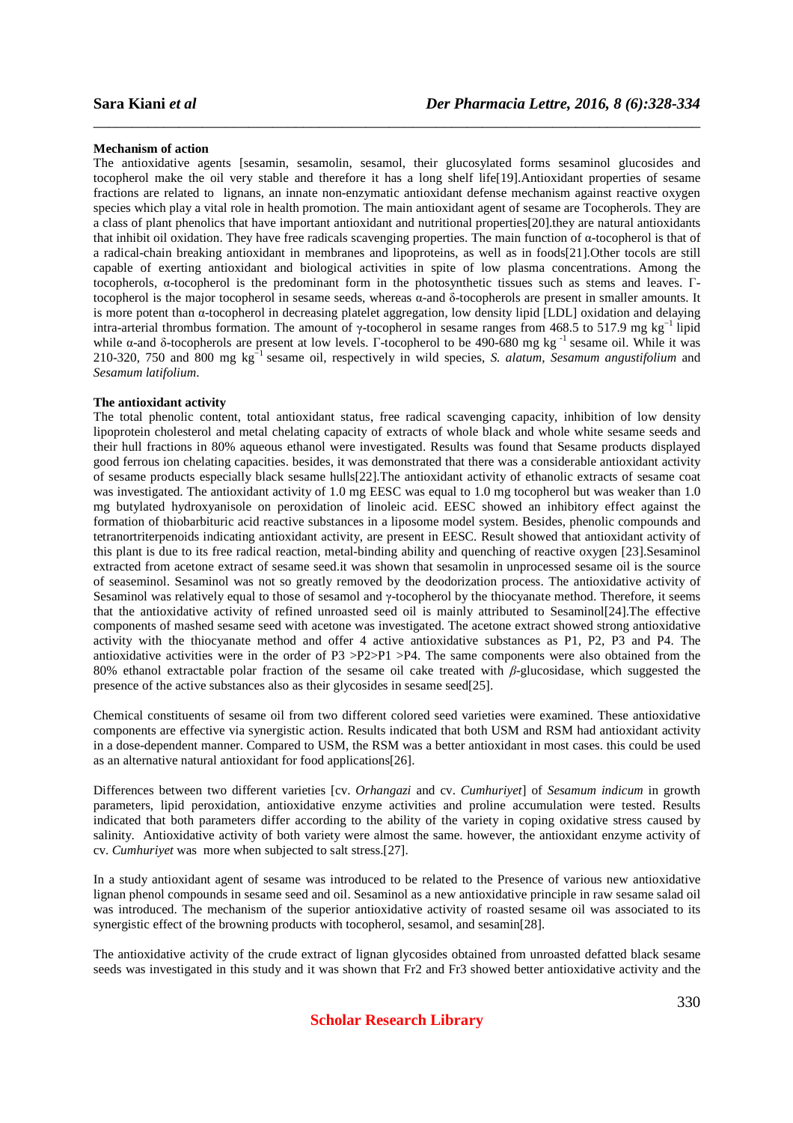#### **Mechanism of action**

The antioxidative agents [sesamin, sesamolin, sesamol, their glucosylated forms sesaminol glucosides and tocopherol make the oil very stable and therefore it has a long shelf life[19].Antioxidant properties of sesame fractions are related to lignans, an innate non-enzymatic antioxidant defense mechanism against reactive oxygen species which play a vital role in health promotion. The main antioxidant agent of sesame are Tocopherols. They are a class of plant phenolics that have important antioxidant and nutritional properties[20].they are natural antioxidants that inhibit oil oxidation. They have free radicals scavenging properties. The main function of  $\alpha$ -tocopherol is that of a radical-chain breaking antioxidant in membranes and lipoproteins, as well as in foods[21].Other tocols are still capable of exerting antioxidant and biological activities in spite of low plasma concentrations. Among the tocopherols, α-tocopherol is the predominant form in the photosynthetic tissues such as stems and leaves. Γtocopherol is the major tocopherol in sesame seeds, whereas α-and δ-tocopherols are present in smaller amounts. It is more potent than α-tocopherol in decreasing platelet aggregation, low density lipid [LDL] oxidation and delaying intra-arterial thrombus formation. The amount of γ-tocopherol in sesame ranges from 468.5 to 517.9 mg kg<sup>-1</sup> lipid while α-and δ-tocopherols are present at low levels. Γ-tocopherol to be 490-680 mg kg<sup>-1</sup> sesame oil. While it was 210-320, 750 and 800 mg kg−1 sesame oil, respectively in wild species, *S. alatum, Sesamum angustifolium* and *Sesamum latifolium*.

\_\_\_\_\_\_\_\_\_\_\_\_\_\_\_\_\_\_\_\_\_\_\_\_\_\_\_\_\_\_\_\_\_\_\_\_\_\_\_\_\_\_\_\_\_\_\_\_\_\_\_\_\_\_\_\_\_\_\_\_\_\_\_\_\_\_\_\_\_\_\_\_\_\_\_\_\_\_

#### **The antioxidant activity**

The total phenolic content, total antioxidant status, free radical scavenging capacity, inhibition of low density lipoprotein cholesterol and metal chelating capacity of extracts of whole black and whole white sesame seeds and their hull fractions in 80% aqueous ethanol were investigated. Results was found that Sesame products displayed good ferrous ion chelating capacities. besides, it was demonstrated that there was a considerable antioxidant activity of sesame products especially black sesame hulls[22].The antioxidant activity of ethanolic extracts of sesame coat was investigated. The antioxidant activity of 1.0 mg EESC was equal to 1.0 mg tocopherol but was weaker than 1.0 mg butylated hydroxyanisole on peroxidation of linoleic acid. EESC showed an inhibitory effect against the formation of thiobarbituric acid reactive substances in a liposome model system. Besides, phenolic compounds and tetranortriterpenoids indicating antioxidant activity, are present in EESC. Result showed that antioxidant activity of this plant is due to its free radical reaction, metal-binding ability and quenching of reactive oxygen [23].Sesaminol extracted from acetone extract of sesame seed.it was shown that sesamolin in unprocessed sesame oil is the source of seaseminol. Sesaminol was not so greatly removed by the deodorization process. The antioxidative activity of Sesaminol was relatively equal to those of sesamol and γ-tocopherol by the thiocyanate method. Therefore, it seems that the antioxidative activity of refined unroasted seed oil is mainly attributed to Sesaminol[24].The effective components of mashed sesame seed with acetone was investigated. The acetone extract showed strong antioxidative activity with the thiocyanate method and offer 4 active antioxidative substances as P1, P2, P3 and P4. The antioxidative activities were in the order of P3 >P2>P1 >P4. The same components were also obtained from the 80% ethanol extractable polar fraction of the sesame oil cake treated with *β*-glucosidase, which suggested the presence of the active substances also as their glycosides in sesame seed[25].

Chemical constituents of sesame oil from two different colored seed varieties were examined. These antioxidative components are effective via synergistic action. Results indicated that both USM and RSM had antioxidant activity in a dose-dependent manner. Compared to USM, the RSM was a better antioxidant in most cases. this could be used as an alternative natural antioxidant for food applications[26].

Differences between two different varieties [cv. *Orhangazi* and cv. *Cumhuriyet*] of *Sesamum indicum* in growth parameters, lipid peroxidation, antioxidative enzyme activities and proline accumulation were tested. Results indicated that both parameters differ according to the ability of the variety in coping oxidative stress caused by salinity. Antioxidative activity of both variety were almost the same. however, the antioxidant enzyme activity of cv. *Cumhuriyet* was more when subjected to salt stress.[27].

In a study antioxidant agent of sesame was introduced to be related to the Presence of various new antioxidative lignan phenol compounds in sesame seed and oil. Sesaminol as a new antioxidative principle in raw sesame salad oil was introduced. The mechanism of the superior antioxidative activity of roasted sesame oil was associated to its synergistic effect of the browning products with tocopherol, sesamol, and sesamin[28].

The antioxidative activity of the crude extract of lignan glycosides obtained from unroasted defatted black sesame seeds was investigated in this study and it was shown that Fr2 and Fr3 showed better antioxidative activity and the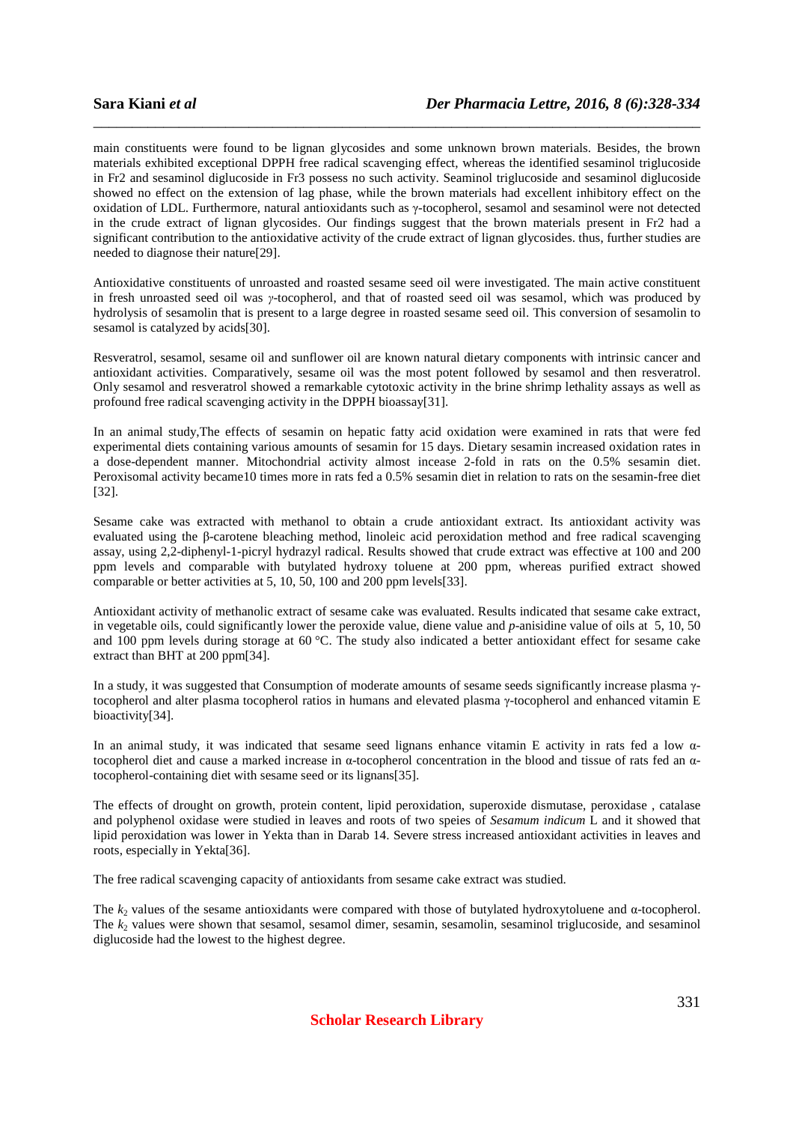main constituents were found to be lignan glycosides and some unknown brown materials. Besides, the brown materials exhibited exceptional DPPH free radical scavenging effect, whereas the identified sesaminol triglucoside in Fr2 and sesaminol diglucoside in Fr3 possess no such activity. Seaminol triglucoside and sesaminol diglucoside showed no effect on the extension of lag phase, while the brown materials had excellent inhibitory effect on the oxidation of LDL. Furthermore, natural antioxidants such as γ-tocopherol, sesamol and sesaminol were not detected in the crude extract of lignan glycosides. Our findings suggest that the brown materials present in Fr2 had a significant contribution to the antioxidative activity of the crude extract of lignan glycosides. thus, further studies are needed to diagnose their nature[29].

\_\_\_\_\_\_\_\_\_\_\_\_\_\_\_\_\_\_\_\_\_\_\_\_\_\_\_\_\_\_\_\_\_\_\_\_\_\_\_\_\_\_\_\_\_\_\_\_\_\_\_\_\_\_\_\_\_\_\_\_\_\_\_\_\_\_\_\_\_\_\_\_\_\_\_\_\_\_

Antioxidative constituents of unroasted and roasted sesame seed oil were investigated. The main active constituent in fresh unroasted seed oil was *γ*-tocopherol, and that of roasted seed oil was sesamol, which was produced by hydrolysis of sesamolin that is present to a large degree in roasted sesame seed oil. This conversion of sesamolin to sesamol is catalyzed by acids[30].

Resveratrol, sesamol, sesame oil and sunflower oil are known natural dietary components with intrinsic cancer and antioxidant activities. Comparatively, sesame oil was the most potent followed by sesamol and then resveratrol. Only sesamol and resveratrol showed a remarkable cytotoxic activity in the brine shrimp lethality assays as well as profound free radical scavenging activity in the DPPH bioassay[31].

In an animal study,The effects of sesamin on hepatic fatty acid oxidation were examined in rats that were fed experimental diets containing various amounts of sesamin for 15 days. Dietary sesamin increased oxidation rates in a dose-dependent manner. Mitochondrial activity almost incease 2-fold in rats on the 0.5% sesamin diet. Peroxisomal activity became10 times more in rats fed a 0.5% sesamin diet in relation to rats on the sesamin-free diet [32].

Sesame cake was extracted with methanol to obtain a crude antioxidant extract. Its antioxidant activity was evaluated using the β-carotene bleaching method, linoleic acid peroxidation method and free radical scavenging assay, using 2,2-diphenyl-1-picryl hydrazyl radical. Results showed that crude extract was effective at 100 and 200 ppm levels and comparable with butylated hydroxy toluene at 200 ppm, whereas purified extract showed comparable or better activities at 5, 10, 50, 100 and 200 ppm levels[33].

Antioxidant activity of methanolic extract of sesame cake was evaluated. Results indicated that sesame cake extract, in vegetable oils, could significantly lower the peroxide value, diene value and *p*-anisidine value of oils at 5, 10, 50 and 100 ppm levels during storage at 60 °C. The study also indicated a better antioxidant effect for sesame cake extract than BHT at 200 ppm[34].

In a study, it was suggested that Consumption of moderate amounts of sesame seeds significantly increase plasma γtocopherol and alter plasma tocopherol ratios in humans and elevated plasma γ-tocopherol and enhanced vitamin E bioactivity[34].

In an animal study, it was indicated that sesame seed lignans enhance vitamin E activity in rats fed a low αtocopherol diet and cause a marked increase in α-tocopherol concentration in the blood and tissue of rats fed an αtocopherol-containing diet with sesame seed or its lignans[35].

The effects of drought on growth, protein content, lipid peroxidation, superoxide dismutase, peroxidase , catalase and polyphenol oxidase were studied in leaves and roots of two speies of *Sesamum indicum* L and it showed that lipid peroxidation was lower in Yekta than in Darab 14. Severe stress increased antioxidant activities in leaves and roots, especially in Yekta[36].

The free radical scavenging capacity of antioxidants from sesame cake extract was studied.

The *k*2 values of the sesame antioxidants were compared with those of butylated hydroxytoluene and α-tocopherol. The  $k_2$  values were shown that sesamol, sesamol dimer, sesamin, sesamolin, sesaminol triglucoside, and sesaminol diglucoside had the lowest to the highest degree.

**Scholar Research Library**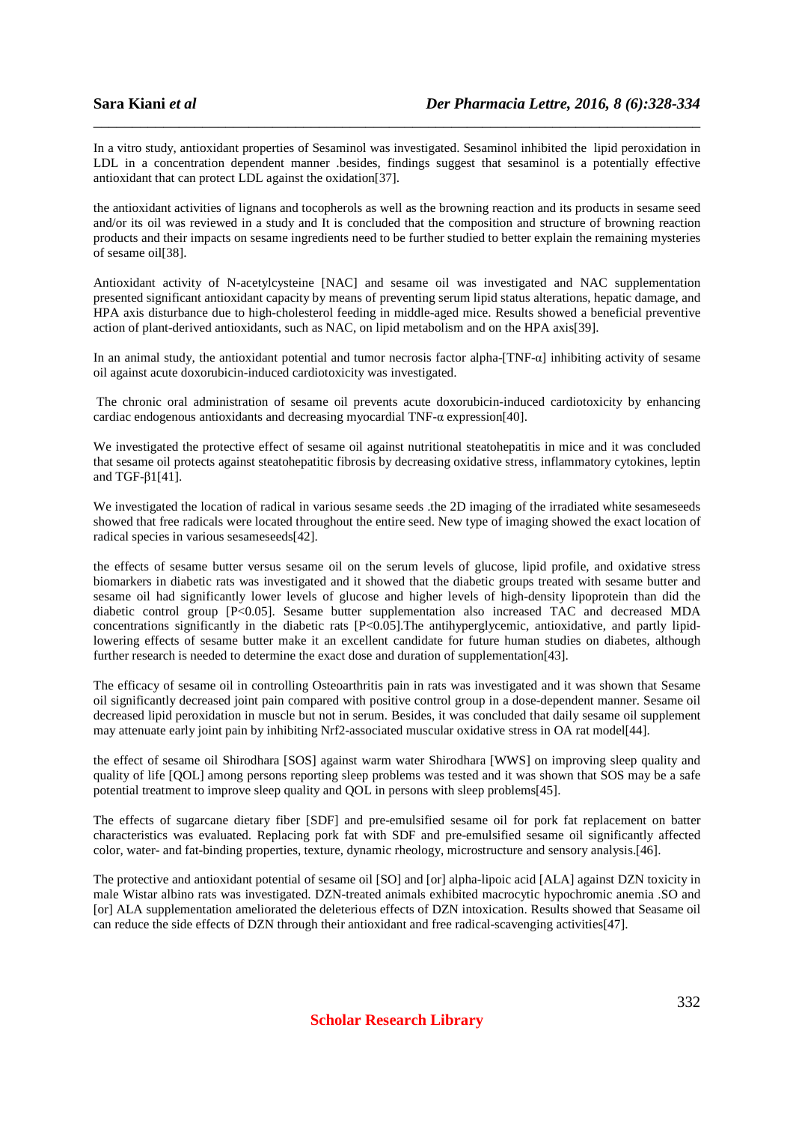In a vitro study, antioxidant properties of Sesaminol was investigated. Sesaminol inhibited the lipid peroxidation in LDL in a concentration dependent manner .besides, findings suggest that sesaminol is a potentially effective antioxidant that can protect LDL against the oxidation[37].

\_\_\_\_\_\_\_\_\_\_\_\_\_\_\_\_\_\_\_\_\_\_\_\_\_\_\_\_\_\_\_\_\_\_\_\_\_\_\_\_\_\_\_\_\_\_\_\_\_\_\_\_\_\_\_\_\_\_\_\_\_\_\_\_\_\_\_\_\_\_\_\_\_\_\_\_\_\_

the antioxidant activities of lignans and tocopherols as well as the browning reaction and its products in sesame seed and/or its oil was reviewed in a study and It is concluded that the composition and structure of browning reaction products and their impacts on sesame ingredients need to be further studied to better explain the remaining mysteries of sesame oil[38].

Antioxidant activity of N-acetylcysteine [NAC] and sesame oil was investigated and NAC supplementation presented significant antioxidant capacity by means of preventing serum lipid status alterations, hepatic damage, and HPA axis disturbance due to high-cholesterol feeding in middle-aged mice. Results showed a beneficial preventive action of plant-derived antioxidants, such as NAC, on lipid metabolism and on the HPA axis[39].

In an animal study, the antioxidant potential and tumor necrosis factor alpha-[TNF-α] inhibiting activity of sesame oil against acute doxorubicin-induced cardiotoxicity was investigated.

 The chronic oral administration of sesame oil prevents acute doxorubicin-induced cardiotoxicity by enhancing cardiac endogenous antioxidants and decreasing myocardial TNF-α expression[40].

We investigated the protective effect of sesame oil against nutritional steatohepatitis in mice and it was concluded that sesame oil protects against steatohepatitic fibrosis by decreasing oxidative stress, inflammatory cytokines, leptin and TGF-β1[41].

We investigated the location of radical in various sesame seeds .the 2D imaging of the irradiated white sesameseeds showed that free radicals were located throughout the entire seed. New type of imaging showed the exact location of radical species in various sesameseeds[42].

the effects of sesame butter versus sesame oil on the serum levels of glucose, lipid profile, and oxidative stress biomarkers in diabetic rats was investigated and it showed that the diabetic groups treated with sesame butter and sesame oil had significantly lower levels of glucose and higher levels of high-density lipoprotein than did the diabetic control group [P<0.05]. Sesame butter supplementation also increased TAC and decreased MDA concentrations significantly in the diabetic rats  $[{\rm P}<0.05]$ . The antihyperglycemic, antioxidative, and partly lipidlowering effects of sesame butter make it an excellent candidate for future human studies on diabetes, although further research is needed to determine the exact dose and duration of supplementation[43].

The efficacy of sesame oil in controlling Osteoarthritis pain in rats was investigated and it was shown that Sesame oil significantly decreased joint pain compared with positive control group in a dose-dependent manner. Sesame oil decreased lipid peroxidation in muscle but not in serum. Besides, it was concluded that daily sesame oil supplement may attenuate early joint pain by inhibiting Nrf2-associated muscular oxidative stress in OA rat model[44].

the effect of sesame oil Shirodhara [SOS] against warm water Shirodhara [WWS] on improving sleep quality and quality of life [QOL] among persons reporting sleep problems was tested and it was shown that SOS may be a safe potential treatment to improve sleep quality and QOL in persons with sleep problems[45].

The effects of sugarcane dietary fiber [SDF] and pre-emulsified sesame oil for pork fat replacement on batter characteristics was evaluated. Replacing pork fat with SDF and pre-emulsified sesame oil significantly affected color, water- and fat-binding properties, texture, dynamic rheology, microstructure and sensory analysis.[46].

The protective and antioxidant potential of sesame oil [SO] and [or] alpha-lipoic acid [ALA] against DZN toxicity in male Wistar albino rats was investigated. DZN-treated animals exhibited macrocytic hypochromic anemia .SO and [or] ALA supplementation ameliorated the deleterious effects of DZN intoxication. Results showed that Seasame oil can reduce the side effects of DZN through their antioxidant and free radical-scavenging activities[47].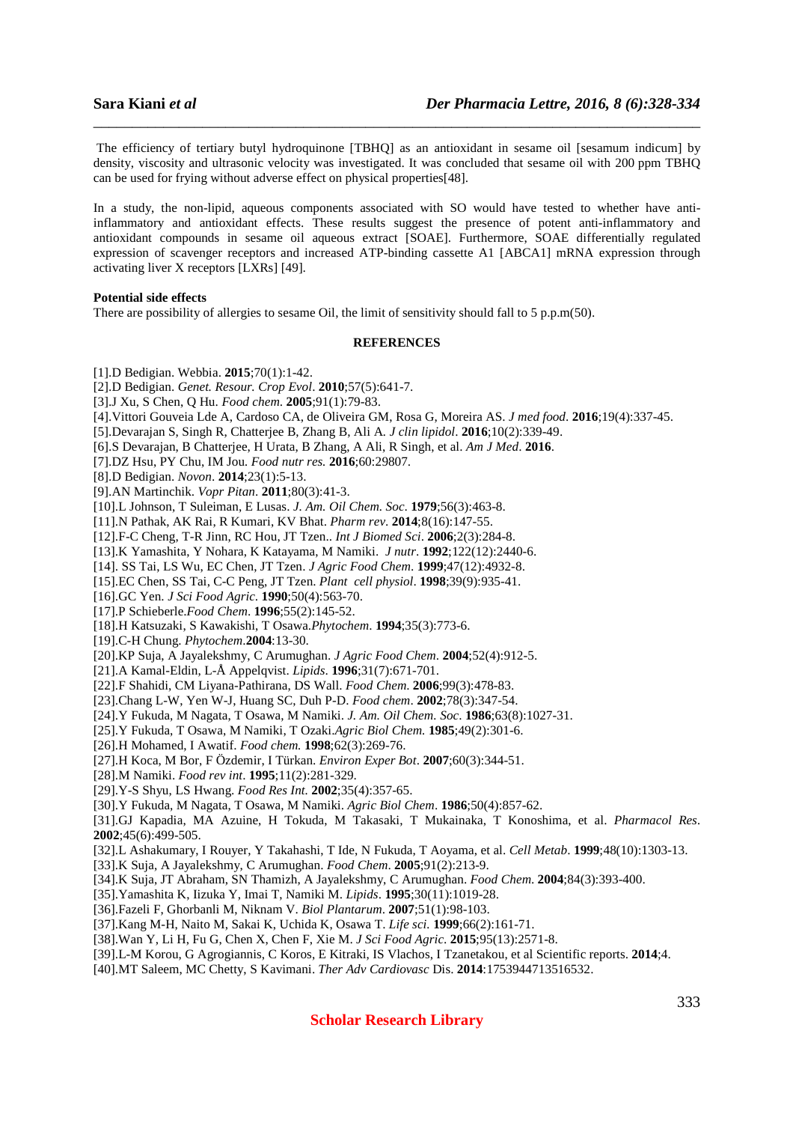The efficiency of tertiary butyl hydroquinone [TBHQ] as an antioxidant in sesame oil [sesamum indicum] by density, viscosity and ultrasonic velocity was investigated. It was concluded that sesame oil with 200 ppm TBHQ can be used for frying without adverse effect on physical properties[48].

\_\_\_\_\_\_\_\_\_\_\_\_\_\_\_\_\_\_\_\_\_\_\_\_\_\_\_\_\_\_\_\_\_\_\_\_\_\_\_\_\_\_\_\_\_\_\_\_\_\_\_\_\_\_\_\_\_\_\_\_\_\_\_\_\_\_\_\_\_\_\_\_\_\_\_\_\_\_

In a study, the non-lipid, aqueous components associated with SO would have tested to whether have antiinflammatory and antioxidant effects. These results suggest the presence of potent anti-inflammatory and antioxidant compounds in sesame oil aqueous extract [SOAE]. Furthermore, SOAE differentially regulated expression of scavenger receptors and increased ATP-binding cassette A1 [ABCA1] mRNA expression through activating liver X receptors [LXRs] [49].

### **Potential side effects**

There are possibility of allergies to sesame Oil, the limit of sensitivity should fall to 5 p.p.m(50).

### **REFERENCES**

- [1].D Bedigian. Webbia. **2015**;70(1):1-42.
- [2].D Bedigian. *Genet. Resour. Crop Evol*. **2010**;57(5):641-7.
- [3].J Xu, S Chen, Q Hu. *Food chem*. **2005**;91(1):79-83.
- [4].Vittori Gouveia Lde A, Cardoso CA, de Oliveira GM, Rosa G, Moreira AS. *J med food*. **2016**;19(4):337-45.
- [5].Devarajan S, Singh R, Chatterjee B, Zhang B, Ali A*. J clin lipidol*. **2016**;10(2):339-49.
- [6].S Devarajan, B Chatterjee, H Urata, B Zhang, A Ali, R Singh, et al. *Am J Med*. **2016**.
- [7].DZ Hsu, PY Chu, IM Jou*. Food nutr res.* **2016**;60:29807.
- [8].D Bedigian. *Novon*. **2014**;23(1):5-13.
- [9].AN Martinchik. *Vopr Pitan*. **2011**;80(3):41-3.
- [10].L Johnson, T Suleiman, E Lusas. *J. Am. Oil Chem. Soc*. **1979**;56(3):463-8.
- [11].N Pathak, AK Rai, R Kumari, KV Bhat. *Pharm rev*. **2014**;8(16):147-55.
- [12].F-C Cheng, T-R Jinn, RC Hou, JT Tzen.. *Int J Biomed Sci*. **2006**;2(3):284-8.
- [13].K Yamashita, Y Nohara, K Katayama, M Namiki. *J nutr*. **1992**;122(12):2440-6.
- [14]. SS Tai, LS Wu, EC Chen, JT Tzen. *J Agric Food Chem*. **1999**;47(12):4932-8.
- [15].EC Chen, SS Tai, C-C Peng, JT Tzen. *Plant cell physiol*. **1998**;39(9):935-41.
- [16].GC Yen. *J Sci Food Agric*. **1990**;50(4):563-70.
- [17].P Schieberle.*Food Chem*. **1996**;55(2):145-52.
- [18].H Katsuzaki, S Kawakishi, T Osawa.*Phytochem*. **1994**;35(3):773-6.
- [19].C-H Chung. *Phytochem*.**2004**:13-30.
- [20].KP Suja, A Jayalekshmy, C Arumughan. *J Agric Food Chem*. **2004**;52(4):912-5.
- [21].A Kamal-Eldin, L-Å Appelqvist. *Lipids*. **1996**;31(7):671-701.
- [22].F Shahidi, CM Liyana-Pathirana, DS Wall. *Food Chem*. **2006**;99(3):478-83.
- [23].Chang L-W, Yen W-J, Huang SC, Duh P-D. *Food chem*. **2002**;78(3):347-54.
- [24].Y Fukuda, M Nagata, T Osawa, M Namiki. *J. Am. Oil Chem. Soc*. **1986**;63(8):1027-31.
- [25].Y Fukuda, T Osawa, M Namiki, T Ozaki.*Agric Biol Chem.* **1985**;49(2):301-6.
- [26].H Mohamed, I Awatif. *Food chem.* **1998**;62(3):269-76.
- [27].H Koca, M Bor, F Özdemir, I Türkan. *Environ Exper Bot*. **2007**;60(3):344-51.
- [28].M Namiki. *Food rev int*. **1995**;11(2):281-329.
- [29].Y-S Shyu, LS Hwang. *Food Res Int.* **2002**;35(4):357-65.
- [30].Y Fukuda, M Nagata, T Osawa, M Namiki. *Agric Biol Chem*. **1986**;50(4):857-62.

[31].GJ Kapadia, MA Azuine, H Tokuda, M Takasaki, T Mukainaka, T Konoshima, et al. *Pharmacol Res.* **2002**;45(6):499-505.

- [32].L Ashakumary, I Rouyer, Y Takahashi, T Ide, N Fukuda, T Aoyama, et al. *Cell Metab*. **1999**;48(10):1303-13.
- [33].K Suja, A Jayalekshmy, C Arumughan. *Food Chem*. **2005**;91(2):213-9.
- [34].K Suja, JT Abraham, SN Thamizh, A Jayalekshmy, C Arumughan. *Food Chem*. **2004**;84(3):393-400.
- [35].Yamashita K, Iizuka Y, Imai T, Namiki M. *Lipids*. **1995**;30(11):1019-28.
- [36].Fazeli F, Ghorbanli M, Niknam V. *Biol Plantarum*. **2007**;51(1):98-103.
- [37].Kang M-H, Naito M, Sakai K, Uchida K, Osawa T. *Life sci.* **1999**;66(2):161-71.
- [38].Wan Y, Li H, Fu G, Chen X, Chen F, Xie M. *J Sci Food Agric*. **2015**;95(13):2571-8.
- [39].L-M Korou, G Agrogiannis, C Koros, E Kitraki, IS Vlachos, I Tzanetakou, et al Scientific reports. **2014**;4.
- [40].MT Saleem, MC Chetty, S Kavimani. *Ther Adv Cardiovasc* Dis. **2014**:1753944713516532.